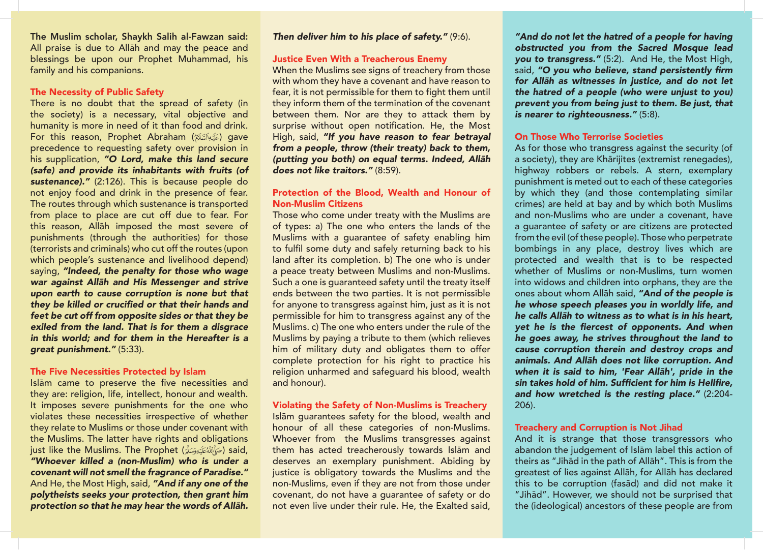The Muslim scholar, Shaykh Salih al-Fawzan said: All praise is due to Allāh and may the peace and blessings be upon our Prophet Muhammad, his family and his companions.

## The Necessity of Public Safety

There is no doubt that the spread of safety (in the society) is a necessary, vital objective and humanity is more in need of it than food and drink. For this reason, Prophet Abraham (عَلَيْهِأَلِسَّلَامُ) qave precedence to requesting safety over provision in his supplication, *"O Lord, make this land secure (safe) and provide its inhabitants with fruits (of sustenance)."* (2:126). This is because people do not enjoy food and drink in the presence of fear. The routes through which sustenance is transported from place to place are cut off due to fear. For this reason, Allāh imposed the most severe of punishments (through the authorities) for those (terrorists and criminals) who cut off the routes (upon which people's sustenance and livelihood depend) saying, *"Indeed, the penalty for those who wage*  war against Allāh and His Messenger and strive *upon earth to cause corruption is none but that*  they be killed or crucified or that their hands and *feet be cut off from opposite sides or that they be exiled from the land. That is for them a disgrace*  in this world; and for them in the Hereafter is a *great punishment."* (5:33).

#### The Five Necessities Protected by Islam

Islām came to preserve the five necessities and they are: religion, life, intellect, honour and wealth. It imposes severe punishments for the one who violates these necessities irrespective of whether they relate to Muslims or those under covenant with the Muslims. The latter have rights and obligations just like the Muslims. The Prophet (صَاَأَلِلَّهُ عَلَيْهِ وَسَلَّةً ) said, "Whoever killed a (non-Muslim) who is under a *covenant will not smell the fragrance of Paradise."* And He, the Most High, said, *"And if any one of the polytheists seeks your protection, then grant him*  protection so that he may hear the words of Allāh.

### *Then deliver him to his place of safety."* (9:6).

#### Justice Even With a Treacherous Enemy

When the Muslims see signs of treachery from those with whom they have a covenant and have reason to fear, it is not permissible for them to fight them until they inform them of the termination of the covenant between them. Nor are they to attack them by surprise without open notification. He, the Most High, said, *"If you have reason to fear betrayal from a people, throw (their treaty) back to them,*  (putting you both) on equal terms. Indeed, Allāh *does not like traitors."* (8:59).

## Protection of the Blood, Wealth and Honour of Non-Muslim Citizens

Those who come under treaty with the Muslims are of types: a) The one who enters the lands of the Muslims with a guarantee of safety enabling him to fulfil some duty and safely returning back to his land after its completion. b) The one who is under a peace treaty between Muslims and non-Muslims. Such a one is guaranteed safety until the treaty itself ends between the two parties. It is not permissible for anyone to transgress against him, just as it is not permissible for him to transgress against any of the Muslims. c) The one who enters under the rule of the Muslims by paying a tribute to them (which relieves him of military duty and obligates them to offer complete protection for his right to practice his religion unharmed and safeguard his blood, wealth and honour).

#### Violating the Safety of Non-Muslims is Treachery

Islām guarantees safety for the blood, wealth and honour of all these categories of non-Muslims. Whoever from the Muslims transgresses against them has acted treacherously towards Islām and deserves an exemplary punishment. Abiding by justice is obligatory towards the Muslims and the non-Muslims, even if they are not from those under covenant, do not have a guarantee of safety or do not even live under their rule. He, the Exalted said,

*"And do not let the hatred of a people for having*  obstructed you from the Sacred Mosque lead *you to transgress."* (5:2). And He, the Most High, said, "O you who believe, stand persistently firm for Allāh as witnesses in justice, and do not let the hatred of a people (who were unjust to you) prevent you from being just to them. Be just, that *is nearer to righteousness."* (5:8).

#### On Those Who Terrorise Societies

As for those who transgress against the security (of a society), they are Khārijites (extremist renegades), highway robbers or rebels. A stern, exemplary punishment is meted out to each of these categories by which they (and those contemplating similar crimes) are held at bay and by which both Muslims and non-Muslims who are under a covenant, have a guarantee of safety or are citizens are protected from the evil (of these people). Those who perpetrate bombings in any place, destroy lives which are protected and wealth that is to be respected whether of Muslims or non-Muslims, turn women into widows and children into orphans, they are the ones about whom Allāh said, *"And of the people is he whose speech pleases you in worldly life, and*  he calls Allāh to witness as to what is in his heart, yet he is the fiercest of opponents. And when *he goes away, he strives throughout the land to cause corruption therein and destroy crops and*  animals. And Allāh does not like corruption. And when it is said to him, 'Fear Allāh', pride in the sin takes hold of him. Sufficient for him is Hellfire, *and how wretched is the resting place."* (2:204- 206).

#### Treachery and Corruption is Not Jihad

And it is strange that those transgressors who abandon the judgement of Islām label this action of theirs as "Jihād in the path of Allāh". This is from the greatest of lies against Allāh, for Allāh has declared this to be corruption (fasād) and did not make it "Jihād". However, we should not be surprised that the (ideological) ancestors of these people are from